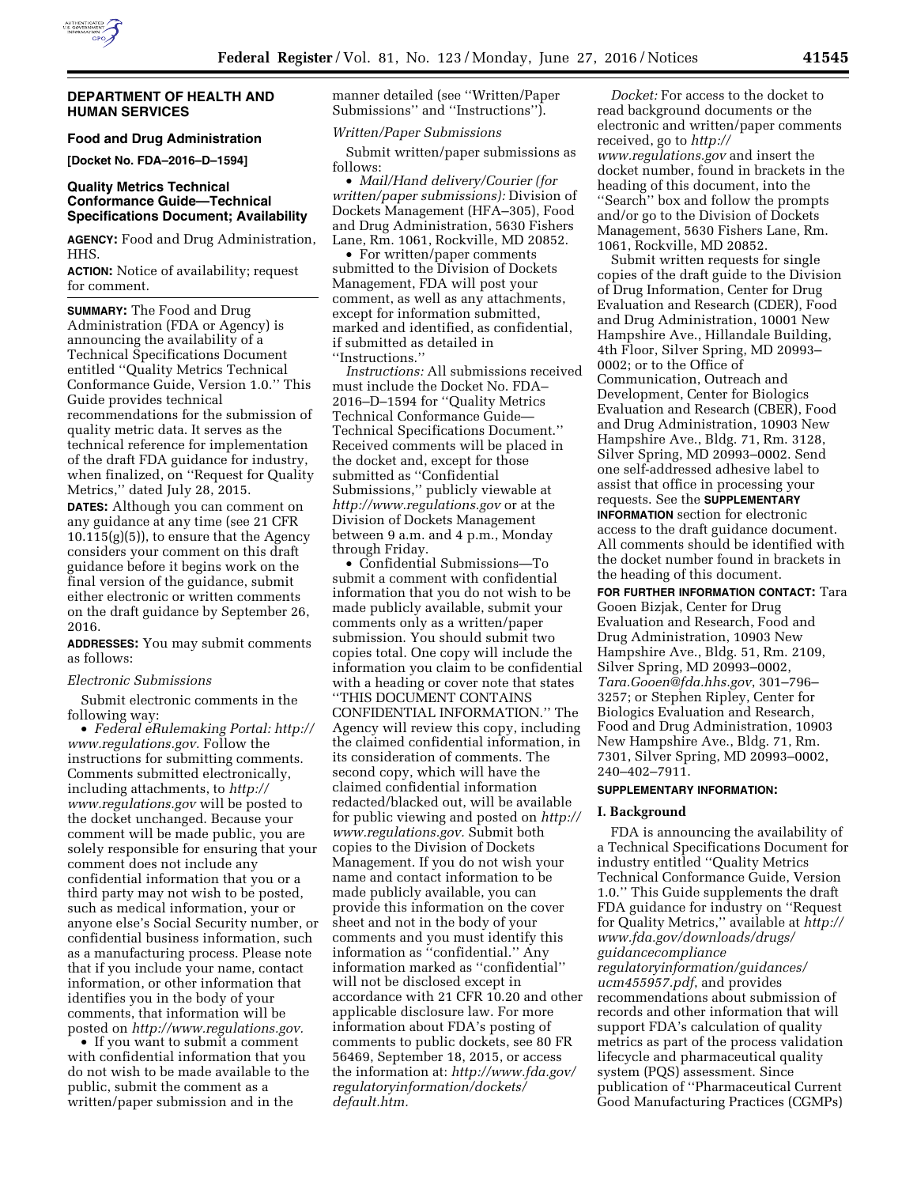

## **DEPARTMENT OF HEALTH AND HUMAN SERVICES**

**Food and Drug Administration** 

**[Docket No. FDA–2016–D–1594]** 

# **Quality Metrics Technical Conformance Guide—Technical Specifications Document; Availability**

**AGENCY:** Food and Drug Administration, HHS.

**ACTION:** Notice of availability; request for comment.

**SUMMARY:** The Food and Drug Administration (FDA or Agency) is announcing the availability of a Technical Specifications Document entitled ''Quality Metrics Technical Conformance Guide, Version 1.0.'' This Guide provides technical recommendations for the submission of quality metric data. It serves as the technical reference for implementation of the draft FDA guidance for industry, when finalized, on ''Request for Quality Metrics,'' dated July 28, 2015.

**DATES:** Although you can comment on any guidance at any time (see 21 CFR  $10.115(g)(5)$ , to ensure that the Agency considers your comment on this draft guidance before it begins work on the final version of the guidance, submit either electronic or written comments on the draft guidance by September 26, 2016.

**ADDRESSES:** You may submit comments as follows:

## *Electronic Submissions*

Submit electronic comments in the following way:

• *Federal eRulemaking Portal: [http://](http://www.regulations.gov)  [www.regulations.gov.](http://www.regulations.gov)* Follow the instructions for submitting comments. Comments submitted electronically, including attachments, to *[http://](http://www.regulations.gov) [www.regulations.gov](http://www.regulations.gov)* will be posted to the docket unchanged. Because your comment will be made public, you are solely responsible for ensuring that your comment does not include any confidential information that you or a third party may not wish to be posted, such as medical information, your or anyone else's Social Security number, or confidential business information, such as a manufacturing process. Please note that if you include your name, contact information, or other information that identifies you in the body of your comments, that information will be posted on *[http://www.regulations.gov.](http://www.regulations.gov)* 

• If you want to submit a comment with confidential information that you do not wish to be made available to the public, submit the comment as a written/paper submission and in the

manner detailed (see ''Written/Paper Submissions'' and ''Instructions'').

# *Written/Paper Submissions*

Submit written/paper submissions as follows:

• *Mail/Hand delivery/Courier (for written/paper submissions):* Division of Dockets Management (HFA–305), Food and Drug Administration, 5630 Fishers Lane, Rm. 1061, Rockville, MD 20852.

• For written/paper comments submitted to the Division of Dockets Management, FDA will post your comment, as well as any attachments, except for information submitted, marked and identified, as confidential, if submitted as detailed in ''Instructions.''

*Instructions:* All submissions received must include the Docket No. FDA– 2016–D–1594 for ''Quality Metrics Technical Conformance Guide— Technical Specifications Document.'' Received comments will be placed in the docket and, except for those submitted as ''Confidential Submissions,'' publicly viewable at *<http://www.regulations.gov>* or at the Division of Dockets Management between 9 a.m. and 4 p.m., Monday through Friday.

• Confidential Submissions—To submit a comment with confidential information that you do not wish to be made publicly available, submit your comments only as a written/paper submission. You should submit two copies total. One copy will include the information you claim to be confidential with a heading or cover note that states ''THIS DOCUMENT CONTAINS CONFIDENTIAL INFORMATION.'' The Agency will review this copy, including the claimed confidential information, in its consideration of comments. The second copy, which will have the claimed confidential information redacted/blacked out, will be available for public viewing and posted on *[http://](http://www.regulations.gov)  [www.regulations.gov.](http://www.regulations.gov)* Submit both copies to the Division of Dockets Management. If you do not wish your name and contact information to be made publicly available, you can provide this information on the cover sheet and not in the body of your comments and you must identify this information as ''confidential.'' Any information marked as ''confidential'' will not be disclosed except in accordance with 21 CFR 10.20 and other applicable disclosure law. For more information about FDA's posting of comments to public dockets, see 80 FR 56469, September 18, 2015, or access the information at: *[http://www.fda.gov/](http://www.fda.gov/regulatoryinformation/dockets/default.htm)  [regulatoryinformation/dockets/](http://www.fda.gov/regulatoryinformation/dockets/default.htm) [default.htm.](http://www.fda.gov/regulatoryinformation/dockets/default.htm)* 

*Docket:* For access to the docket to read background documents or the electronic and written/paper comments received, go to *[http://](http://www.regulations.gov) [www.regulations.gov](http://www.regulations.gov)* and insert the docket number, found in brackets in the heading of this document, into the ''Search'' box and follow the prompts and/or go to the Division of Dockets Management, 5630 Fishers Lane, Rm. 1061, Rockville, MD 20852.

Submit written requests for single copies of the draft guide to the Division of Drug Information, Center for Drug Evaluation and Research (CDER), Food and Drug Administration, 10001 New Hampshire Ave., Hillandale Building, 4th Floor, Silver Spring, MD 20993– 0002; or to the Office of Communication, Outreach and Development, Center for Biologics Evaluation and Research (CBER), Food and Drug Administration, 10903 New Hampshire Ave., Bldg. 71, Rm. 3128, Silver Spring, MD 20993–0002. Send one self-addressed adhesive label to assist that office in processing your requests. See the **SUPPLEMENTARY INFORMATION** section for electronic access to the draft guidance document. All comments should be identified with the docket number found in brackets in the heading of this document. **FOR FURTHER INFORMATION CONTACT:** Tara

Gooen Bizjak, Center for Drug Evaluation and Research, Food and Drug Administration, 10903 New Hampshire Ave., Bldg. 51, Rm. 2109, Silver Spring, MD 20993–0002, *[Tara.Gooen@fda.hhs.gov](mailto:Tara.Gooen@fda.hhs.gov)*, 301–796– 3257; or Stephen Ripley, Center for Biologics Evaluation and Research, Food and Drug Administration, 10903 New Hampshire Ave., Bldg. 71, Rm. 7301, Silver Spring, MD 20993–0002, 240–402–7911.

### **SUPPLEMENTARY INFORMATION:**

# **I. Background**

FDA is announcing the availability of a Technical Specifications Document for industry entitled ''Quality Metrics Technical Conformance Guide, Version 1.0.'' This Guide supplements the draft FDA guidance for industry on ''Request for Quality Metrics,'' available at *[http://](http://www.fda.gov/downloads/drugs/guidancecomplianceregulatoryinformation/guidances/ucm455957.pdf) [www.fda.gov/downloads/drugs/](http://www.fda.gov/downloads/drugs/guidancecomplianceregulatoryinformation/guidances/ucm455957.pdf) [guidancecompliance](http://www.fda.gov/downloads/drugs/guidancecomplianceregulatoryinformation/guidances/ucm455957.pdf) [regulatoryinformation/guidances/](http://www.fda.gov/downloads/drugs/guidancecomplianceregulatoryinformation/guidances/ucm455957.pdf) [ucm455957.pdf](http://www.fda.gov/downloads/drugs/guidancecomplianceregulatoryinformation/guidances/ucm455957.pdf)*, and provides recommendations about submission of records and other information that will support FDA's calculation of quality metrics as part of the process validation lifecycle and pharmaceutical quality system (PQS) assessment. Since publication of ''Pharmaceutical Current Good Manufacturing Practices (CGMPs)